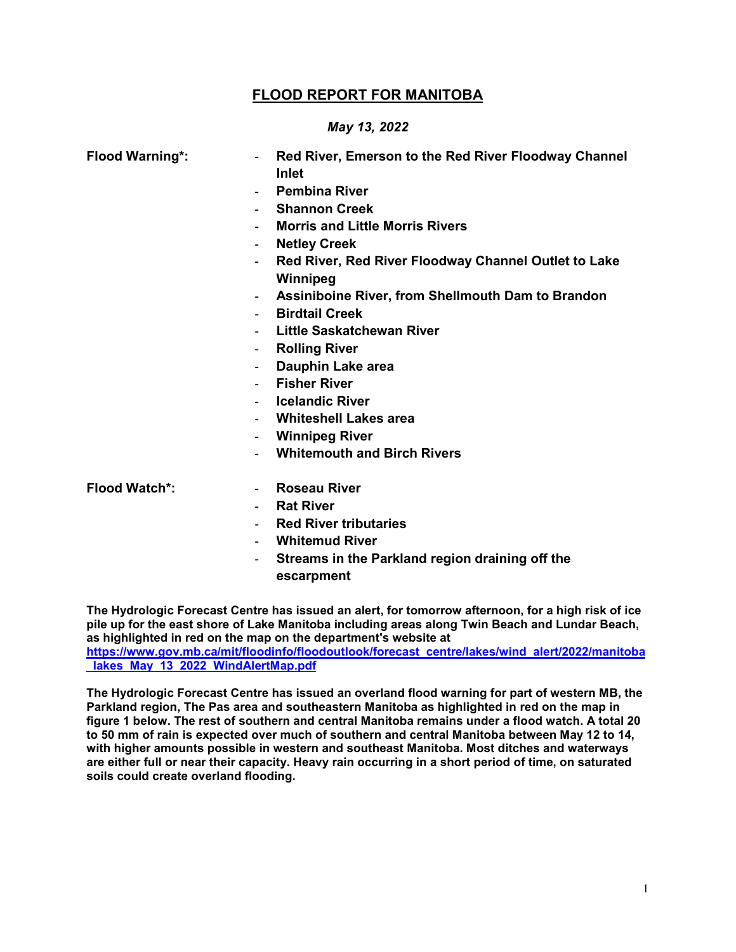# **FLOOD REPORT FOR MANITOBA**

#### *May 13, 2022*

| <b>Flood Warning*:</b> | Red River, Emerson to the Red River Floodway Channel             |  |  |
|------------------------|------------------------------------------------------------------|--|--|
|                        | <b>Inlet</b>                                                     |  |  |
|                        | <b>Pembina River</b>                                             |  |  |
|                        | <b>Shannon Creek</b>                                             |  |  |
|                        | <b>Morris and Little Morris Rivers</b>                           |  |  |
|                        | <b>Netley Creek</b>                                              |  |  |
|                        | Red River, Red River Floodway Channel Outlet to Lake<br>Winnipeg |  |  |
|                        | Assiniboine River, from Shellmouth Dam to Brandon                |  |  |
|                        | <b>Birdtail Creek</b>                                            |  |  |
|                        | <b>Little Saskatchewan River</b>                                 |  |  |
|                        | <b>Rolling River</b><br>۰.                                       |  |  |
|                        | Dauphin Lake area                                                |  |  |
|                        | <b>Fisher River</b>                                              |  |  |
|                        | <b>Icelandic River</b>                                           |  |  |
|                        | <b>Whiteshell Lakes area</b>                                     |  |  |
|                        | <b>Winnipeg River</b>                                            |  |  |
|                        | <b>Whitemouth and Birch Rivers</b>                               |  |  |
| <b>Flood Watch*:</b>   | <b>Roseau River</b><br>$\sim$                                    |  |  |
|                        | <b>Rat River</b>                                                 |  |  |
|                        | <b>Red River tributaries</b>                                     |  |  |

- **Whitemud River**
- **Streams in the Parkland region draining off the escarpment**

**The Hydrologic Forecast Centre has issued an alert, for tomorrow afternoon, for a high risk of ice pile up for the east shore of Lake Manitoba including areas along Twin Beach and Lundar Beach, as highlighted in red on the map on the department's website at [https://www.gov.mb.ca/mit/floodinfo/floodoutlook/forecast\\_centre/lakes/wind\\_alert/2022/manitoba](https://www.gov.mb.ca/mit/floodinfo/floodoutlook/forecast_centre/lakes/wind_alert/2022/manitoba_lakes_May_13_2022_WindAlertMap.pdf) [\\_lakes\\_May\\_13\\_2022\\_WindAlertMap.pdf](https://www.gov.mb.ca/mit/floodinfo/floodoutlook/forecast_centre/lakes/wind_alert/2022/manitoba_lakes_May_13_2022_WindAlertMap.pdf)**

**The Hydrologic Forecast Centre has issued an overland flood warning for part of western MB, the Parkland region, The Pas area and southeastern Manitoba as highlighted in red on the map in figure 1 below. The rest of southern and central Manitoba remains under a flood watch. A total 20 to 50 mm of rain is expected over much of southern and central Manitoba between May 12 to 14, with higher amounts possible in western and southeast Manitoba. Most ditches and waterways are either full or near their capacity. Heavy rain occurring in a short period of time, on saturated soils could create overland flooding.**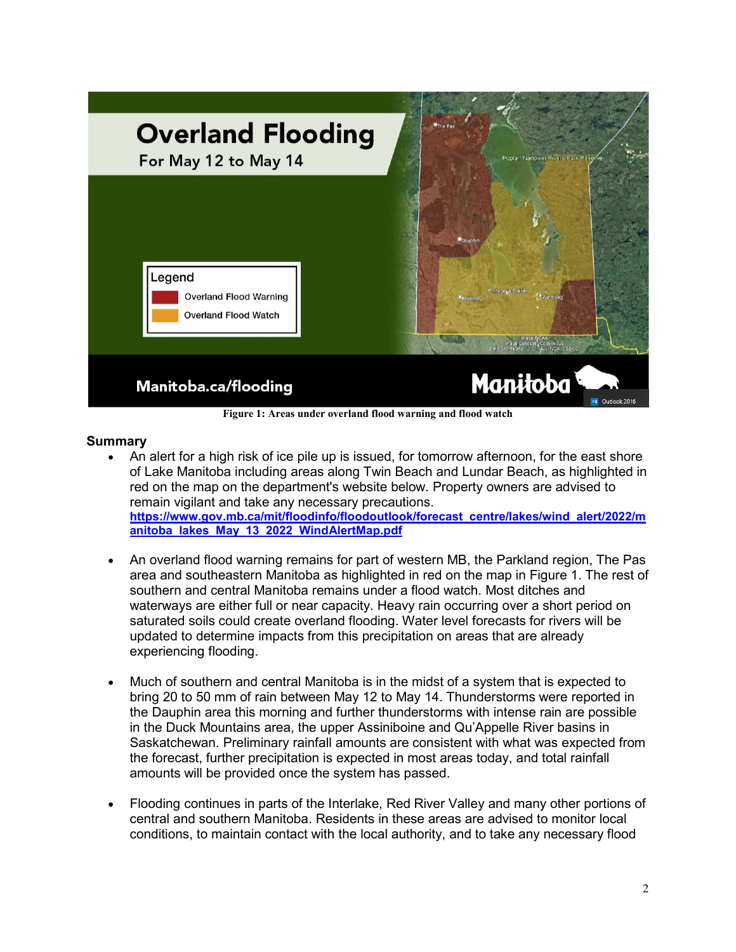

### **Summary**

- An alert for a high risk of ice pile up is issued, for tomorrow afternoon, for the east shore of Lake Manitoba including areas along Twin Beach and Lundar Beach, as highlighted in red on the map on the department's website below. Property owners are advised to remain vigilant and take any necessary precautions. **[https://www.gov.mb.ca/mit/floodinfo/floodoutlook/forecast\\_centre/lakes/wind\\_alert/2022/m](https://www.gov.mb.ca/mit/floodinfo/floodoutlook/forecast_centre/lakes/wind_alert/2022/manitoba_lakes_May_13_2022_WindAlertMap.pdf) [anitoba\\_lakes\\_May\\_13\\_2022\\_WindAlertMap.pdf](https://www.gov.mb.ca/mit/floodinfo/floodoutlook/forecast_centre/lakes/wind_alert/2022/manitoba_lakes_May_13_2022_WindAlertMap.pdf)**
- An overland flood warning remains for part of western MB, the Parkland region, The Pas area and southeastern Manitoba as highlighted in red on the map in Figure 1. The rest of southern and central Manitoba remains under a flood watch. Most ditches and waterways are either full or near capacity. Heavy rain occurring over a short period on saturated soils could create overland flooding. Water level forecasts for rivers will be updated to determine impacts from this precipitation on areas that are already experiencing flooding.
- Much of southern and central Manitoba is in the midst of a system that is expected to bring 20 to 50 mm of rain between May 12 to May 14. Thunderstorms were reported in the Dauphin area this morning and further thunderstorms with intense rain are possible in the Duck Mountains area, the upper Assiniboine and Qu'Appelle River basins in Saskatchewan. Preliminary rainfall amounts are consistent with what was expected from the forecast, further precipitation is expected in most areas today, and total rainfall amounts will be provided once the system has passed.
- Flooding continues in parts of the Interlake, Red River Valley and many other portions of central and southern Manitoba. Residents in these areas are advised to monitor local conditions, to maintain contact with the local authority, and to take any necessary flood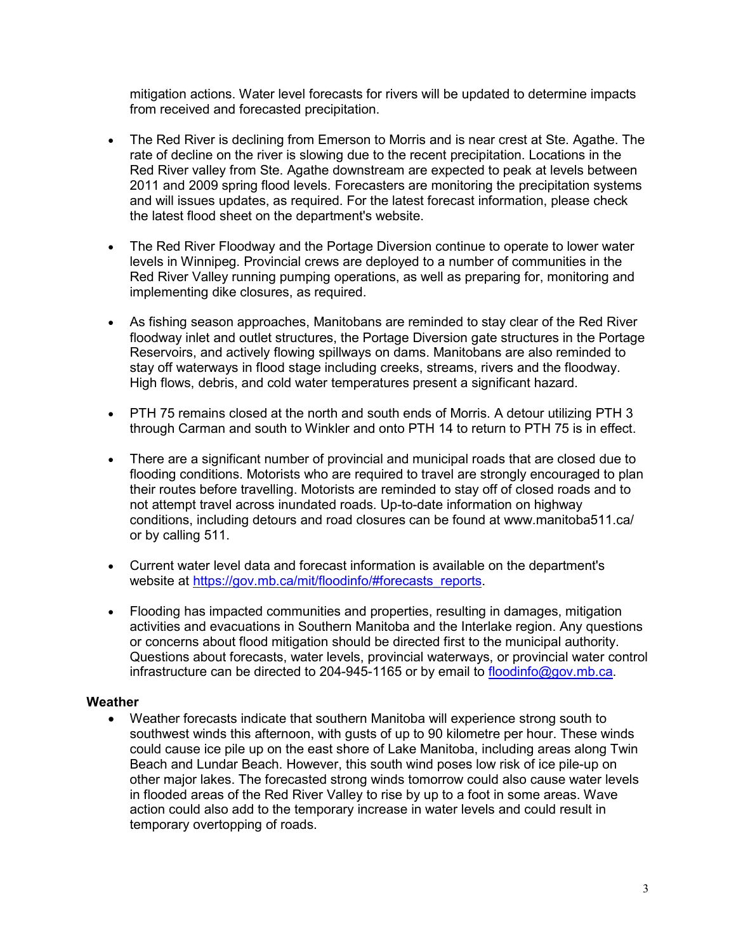mitigation actions. Water level forecasts for rivers will be updated to determine impacts from received and forecasted precipitation.

- The Red River is declining from Emerson to Morris and is near crest at Ste. Agathe. The rate of decline on the river is slowing due to the recent precipitation. Locations in the Red River valley from Ste. Agathe downstream are expected to peak at levels between 2011 and 2009 spring flood levels. Forecasters are monitoring the precipitation systems and will issues updates, as required. For the latest forecast information, please check the latest flood sheet on the department's website.
- The Red River Floodway and the Portage Diversion continue to operate to lower water levels in Winnipeg. Provincial crews are deployed to a number of communities in the Red River Valley running pumping operations, as well as preparing for, monitoring and implementing dike closures, as required.
- As fishing season approaches, Manitobans are reminded to stay clear of the Red River floodway inlet and outlet structures, the Portage Diversion gate structures in the Portage Reservoirs, and actively flowing spillways on dams. Manitobans are also reminded to stay off waterways in flood stage including creeks, streams, rivers and the floodway. High flows, debris, and cold water temperatures present a significant hazard.
- PTH 75 remains closed at the north and south ends of Morris. A detour utilizing PTH 3 through Carman and south to Winkler and onto PTH 14 to return to PTH 75 is in effect.
- There are a significant number of provincial and municipal roads that are closed due to flooding conditions. Motorists who are required to travel are strongly encouraged to plan their routes before travelling. Motorists are reminded to stay off of closed roads and to not attempt travel across inundated roads. Up-to-date information on highway conditions, including detours and road closures can be found at [www.manitoba511.ca/](http://www.manitoba511.ca/)  or by calling 511.
- Current water level data and forecast information is available on the department's website at https://gov.mb.ca/mit/floodinfo/#forecasts\_reports.
- Flooding has impacted communities and properties, resulting in damages, mitigation activities and evacuations in Southern Manitoba and the Interlake region. Any questions or concerns about flood mitigation should be directed first to the municipal authority. Questions about forecasts, water levels, provincial waterways, or provincial water control infrastructure can be directed to 204-945-1165 or by email to [floodinfo@gov.mb.ca.](mailto:floodinfo@gov.mb.ca)

## **Weather**

• Weather forecasts indicate that southern Manitoba will experience strong south to southwest winds this afternoon, with gusts of up to 90 kilometre per hour. These winds could cause ice pile up on the east shore of Lake Manitoba, including areas along Twin Beach and Lundar Beach. However, this south wind poses low risk of ice pile-up on other major lakes. The forecasted strong winds tomorrow could also cause water levels in flooded areas of the Red River Valley to rise by up to a foot in some areas. Wave action could also add to the temporary increase in water levels and could result in temporary overtopping of roads.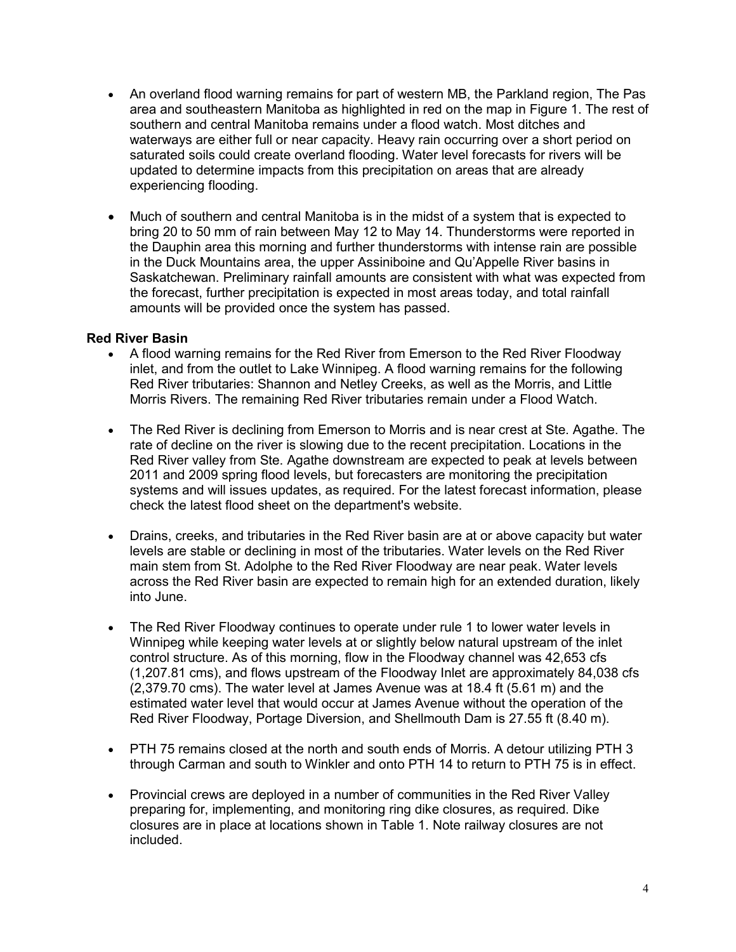- An overland flood warning remains for part of western MB, the Parkland region, The Pas area and southeastern Manitoba as highlighted in red on the map in Figure 1. The rest of southern and central Manitoba remains under a flood watch. Most ditches and waterways are either full or near capacity. Heavy rain occurring over a short period on saturated soils could create overland flooding. Water level forecasts for rivers will be updated to determine impacts from this precipitation on areas that are already experiencing flooding.
- Much of southern and central Manitoba is in the midst of a system that is expected to bring 20 to 50 mm of rain between May 12 to May 14. Thunderstorms were reported in the Dauphin area this morning and further thunderstorms with intense rain are possible in the Duck Mountains area, the upper Assiniboine and Qu'Appelle River basins in Saskatchewan. Preliminary rainfall amounts are consistent with what was expected from the forecast, further precipitation is expected in most areas today, and total rainfall amounts will be provided once the system has passed.

### **Red River Basin**

- A flood warning remains for the Red River from Emerson to the Red River Floodway inlet, and from the outlet to Lake Winnipeg. A flood warning remains for the following Red River tributaries: Shannon and Netley Creeks, as well as the Morris, and Little Morris Rivers. The remaining Red River tributaries remain under a Flood Watch.
- The Red River is declining from Emerson to Morris and is near crest at Ste. Agathe. The rate of decline on the river is slowing due to the recent precipitation. Locations in the Red River valley from Ste. Agathe downstream are expected to peak at levels between 2011 and 2009 spring flood levels, but forecasters are monitoring the precipitation systems and will issues updates, as required. For the latest forecast information, please check the latest flood sheet on the department's website.
- Drains, creeks, and tributaries in the Red River basin are at or above capacity but water levels are stable or declining in most of the tributaries. Water levels on the Red River main stem from St. Adolphe to the Red River Floodway are near peak. Water levels across the Red River basin are expected to remain high for an extended duration, likely into June.
- The Red River Floodway continues to operate under rule 1 to lower water levels in Winnipeg while keeping water levels at or slightly below natural upstream of the inlet control structure. As of this morning, flow in the Floodway channel was 42,653 cfs (1,207.81 cms), and flows upstream of the Floodway Inlet are approximately 84,038 cfs (2,379.70 cms). The water level at James Avenue was at 18.4 ft (5.61 m) and the estimated water level that would occur at James Avenue without the operation of the Red River Floodway, Portage Diversion, and Shellmouth Dam is 27.55 ft (8.40 m).
- PTH 75 remains closed at the north and south ends of Morris. A detour utilizing PTH 3 through Carman and south to Winkler and onto PTH 14 to return to PTH 75 is in effect.
- Provincial crews are deployed in a number of communities in the Red River Valley preparing for, implementing, and monitoring ring dike closures, as required. Dike closures are in place at locations shown in Table 1. Note railway closures are not included.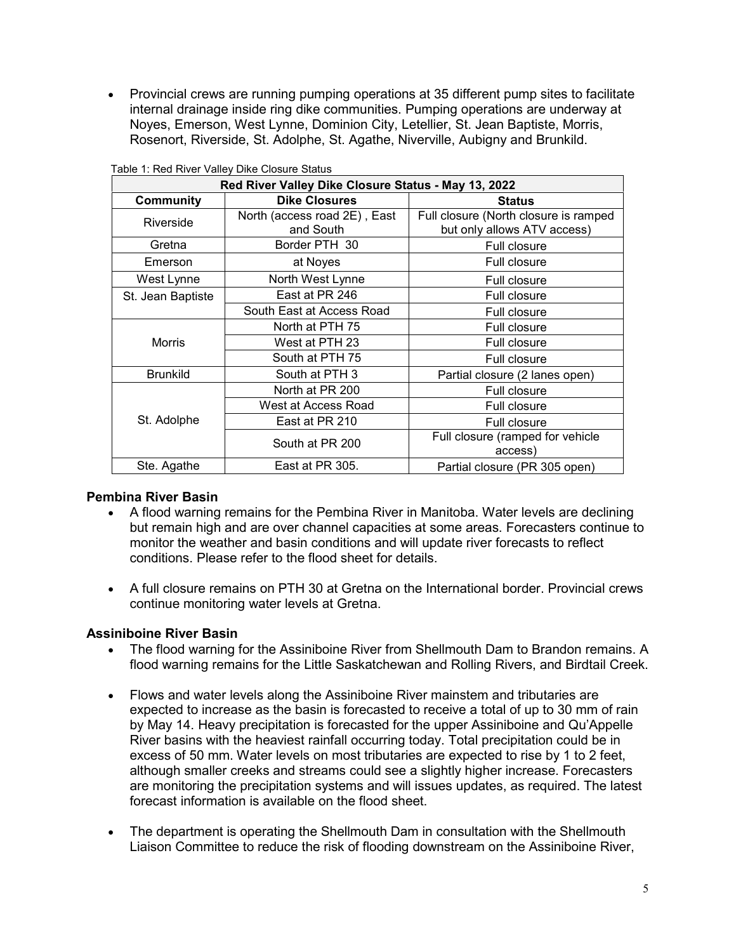• Provincial crews are running pumping operations at 35 different pump sites to facilitate internal drainage inside ring dike communities. Pumping operations are underway at Noyes, Emerson, West Lynne, Dominion City, Letellier, St. Jean Baptiste, Morris, Rosenort, Riverside, St. Adolphe, St. Agathe, Niverville, Aubigny and Brunkild.

| Red River Valley Dike Closure Status - May 13, 2022 |                                           |                                                                      |  |
|-----------------------------------------------------|-------------------------------------------|----------------------------------------------------------------------|--|
| <b>Community</b>                                    | <b>Dike Closures</b>                      | <b>Status</b>                                                        |  |
| Riverside                                           | North (access road 2E), East<br>and South | Full closure (North closure is ramped<br>but only allows ATV access) |  |
| Gretna                                              | Border PTH 30                             | <b>Full closure</b>                                                  |  |
| Emerson                                             | at Noyes                                  | Full closure                                                         |  |
| West Lynne                                          | North West Lynne                          | Full closure                                                         |  |
| St. Jean Baptiste                                   | East at PR 246                            | Full closure                                                         |  |
|                                                     | South East at Access Road                 | <b>Full closure</b>                                                  |  |
| Morris                                              | North at PTH 75                           | Full closure                                                         |  |
|                                                     | West at PTH 23                            | Full closure                                                         |  |
|                                                     | South at PTH 75                           | Full closure                                                         |  |
| <b>Brunkild</b>                                     | South at PTH 3                            | Partial closure (2 lanes open)                                       |  |
| St. Adolphe                                         | North at PR 200                           | <b>Full closure</b>                                                  |  |
|                                                     | West at Access Road                       | Full closure                                                         |  |
|                                                     | East at PR 210                            | Full closure                                                         |  |
|                                                     | South at PR 200                           | Full closure (ramped for vehicle<br>access)                          |  |
| Ste. Agathe                                         | East at PR 305.                           | Partial closure (PR 305 open)                                        |  |

Table 1: Red River Valley Dike Closure Status

#### **Pembina River Basin**

- A flood warning remains for the Pembina River in Manitoba. Water levels are declining but remain high and are over channel capacities at some areas. Forecasters continue to monitor the weather and basin conditions and will update river forecasts to reflect conditions. Please refer to the flood sheet for details.
- A full closure remains on PTH 30 at Gretna on the International border. Provincial crews continue monitoring water levels at Gretna.

### **Assiniboine River Basin**

- The flood warning for the Assiniboine River from Shellmouth Dam to Brandon remains. A flood warning remains for the Little Saskatchewan and Rolling Rivers, and Birdtail Creek.
- Flows and water levels along the Assiniboine River mainstem and tributaries are expected to increase as the basin is forecasted to receive a total of up to 30 mm of rain by May 14. Heavy precipitation is forecasted for the upper Assiniboine and Qu'Appelle River basins with the heaviest rainfall occurring today. Total precipitation could be in excess of 50 mm. Water levels on most tributaries are expected to rise by 1 to 2 feet, although smaller creeks and streams could see a slightly higher increase. Forecasters are monitoring the precipitation systems and will issues updates, as required. The latest forecast information is available on the flood sheet.
- The department is operating the Shellmouth Dam in consultation with the Shellmouth Liaison Committee to reduce the risk of flooding downstream on the Assiniboine River,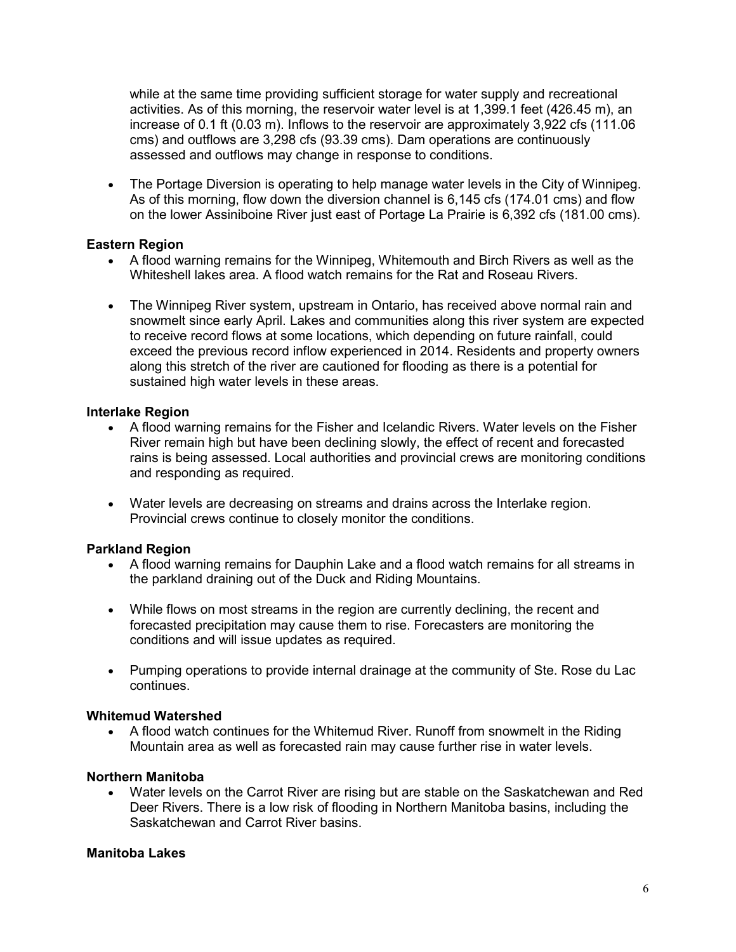while at the same time providing sufficient storage for water supply and recreational activities. As of this morning, the reservoir water level is at 1,399.1 feet (426.45 m), an increase of 0.1 ft (0.03 m). Inflows to the reservoir are approximately 3,922 cfs (111.06 cms) and outflows are 3,298 cfs (93.39 cms). Dam operations are continuously assessed and outflows may change in response to conditions.

• The Portage Diversion is operating to help manage water levels in the City of Winnipeg. As of this morning, flow down the diversion channel is 6,145 cfs (174.01 cms) and flow on the lower Assiniboine River just east of Portage La Prairie is 6,392 cfs (181.00 cms).

## **Eastern Region**

- A flood warning remains for the Winnipeg, Whitemouth and Birch Rivers as well as the Whiteshell lakes area. A flood watch remains for the Rat and Roseau Rivers.
- The Winnipeg River system, upstream in Ontario, has received above normal rain and snowmelt since early April. Lakes and communities along this river system are expected to receive record flows at some locations, which depending on future rainfall, could exceed the previous record inflow experienced in 2014. Residents and property owners along this stretch of the river are cautioned for flooding as there is a potential for sustained high water levels in these areas.

# **Interlake Region**

- A flood warning remains for the Fisher and Icelandic Rivers. Water levels on the Fisher River remain high but have been declining slowly, the effect of recent and forecasted rains is being assessed. Local authorities and provincial crews are monitoring conditions and responding as required.
- Water levels are decreasing on streams and drains across the Interlake region. Provincial crews continue to closely monitor the conditions.

# **Parkland Region**

- A flood warning remains for Dauphin Lake and a flood watch remains for all streams in the parkland draining out of the Duck and Riding Mountains.
- While flows on most streams in the region are currently declining, the recent and forecasted precipitation may cause them to rise. Forecasters are monitoring the conditions and will issue updates as required.
- Pumping operations to provide internal drainage at the community of Ste. Rose du Lac continues.

## **Whitemud Watershed**

• A flood watch continues for the Whitemud River. Runoff from snowmelt in the Riding Mountain area as well as forecasted rain may cause further rise in water levels.

## **Northern Manitoba**

• Water levels on the Carrot River are rising but are stable on the Saskatchewan and Red Deer Rivers. There is a low risk of flooding in Northern Manitoba basins, including the Saskatchewan and Carrot River basins.

## **Manitoba Lakes**